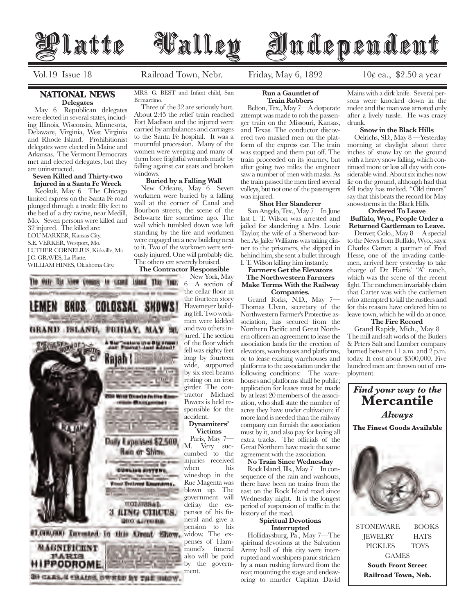

Vol.19 Issue 18 Railroad Town, Nebr. Friday, May 6, 1892  $10\ell$  ea., \$2.50 a year

## **NATIONAL NEWS Delegates**

 May 6—Republican delegates were elected in several states, including Illinois, Wisconsin, Minnesota, Delaware, Virginia, West Virginia and Rhode Island. Prohibitionist delegates were elected in Maine and Arkansas. The Vermont Democrats met and elected delegates, but they are uninstructed.

## **Seven Killed and Thirty-two Injured in a Santa Fe Wreck**

 Keokuk, May 6—The Chicago limited express on the Santa Fe road plunged through a trestle fifty feet to the bed of a dry ravine, near Medill, Mo. Seven persons were killed and 32 injured. The killed are: LOU MARKER, Kansas City. S.E. VERKER, Westport, Mo. LUTHER CORNELIUS, Kirkville, Mo. J.C. GRAVES, La Platte. WILLIAM HINES, Oklahoma City.

MRS. G. BEST and Infant child, San Bernardino.

 Three of the 32 are seriously hurt. About 2:45 the relief train reached Fort Madison and the injured were carried by ambulances and carriages to the Santa Fe hospital. It was a mournful procession. Many of the women were weeping and many of them bore frightful wounds made by falling against car seats and broken windows.

# **Buried by a Falling Wall**

 New Orleans, May 6—Seven workmen were buried by a falling wall at the corner of Canal and Bourbon streets, the scene of the Schwartz fire sometime ago. The wall which tumbled down was left standing by the fire and workmen were engaged on a new building next to it. Two of the workmen were seriously injured. One will probably die. The others ere severely bruised.

## **The Contractor Responsible**

New York, May 6—A section of the cellar floor in the fourteen story Havemeyer building fell. Two workmen were kidded and two others injured. The section of the floor which fell was eighty feet long by fourteen wide, supported by six steel beams resting on an iron girder. The contractor Michael Powers is held responsible for the accident.

## **Dynamiters' Victims**

Paris, May 7— M. Very succumbed to the injuries received when his wineshop in the Rue Magenta was blown up. The government will defray the expenses of his funeral and give a pension to his penses of Hammond's also will be paid by the government.

**Run a Gauntlet of** 

**Train Robbers**

 Belton, Tex., May 7—A desperate attempt was made to rob the passenger train on the Missouri, Kansas, and Texas. The conductor discovered two masked men on the platform of the express car. The train was stopped and them put off. The train proceeded on its journey, but after going two miles the engineer saw a number of men with masks. As the train passed the men fired several volleys, but not one of the passengers was injured.

## **Shot Her Slanderer**

 San Angelo, Tex., May 7—In June last I. T. Wilson was arrested and jailed for slandering a Mrs. Louie Taylor, the wife of a Sherwood barber. As Jailer Williams was taking dinner to the prisoners, she slipped in behind him, she sent a bullet through I. T. Wilson killing him instantly.

## **Farmers Get the Elevators**

## **The Northwestern Farmers Make Terms With the Railway Companies.**

 Grand Forks, N.D., May 7— Thomas Ulven, secretary of the Northwestern Farmer's Protective association, has secured from the Northern Pacific and Great Northern officers an agreement to lease the association lands for the erection of elevators, warehouses and platforms, or to lease existing warehouses and platforms to the association under the following conditions: The warehouses and platforms shall be public; application for leases must be made by at least 20 members of the association, who shall state the number of acres they have under cultivation; if more land is needed than the railway company can furnish the association must by it, and also pay for laying all extra tracks. The officials of the Great Northern have made the same agreement with the association.

#### **No Train Since Wednesday**

 Rock Island, Ills., May 7—In consequence of the rain and washouts, there have been no trains from the east on the Rock Island road since Wednesday night. It is the longest period of suspension of traffic in the history of the road.

## **Spiritual Devotions Interrupted**

 Hollidaysburg, Pa., May 7—The spiritual devotions at the Salvation Army hall of this city were interrupted and worshipers panic stricken by a man rushing forward from the rear, mounting the stage and endeavoring to murder Capitan David

Mains with a dirk knife. Several persons were knocked down in the melee and the man was arrested only after a lively tussle. He was crazy drunk.

## **Snow in the Black Hills**

 Oelrichs, SD., May 8 —Yesterday morning at daylight about three inches of snow lay on the ground with a heavy snow falling, which continued more or less all day with considerable wind. About six inches now lie on the ground, although had that fell today has melted. "Old timers" say that this beats the record for May snowstorms in the Black Hills.

## **Ordered To Leave**

**Buffalo, Wyo., People Order a Returned Cattleman to Leave.** 

 Denver, Colo., May 8— A special to the News from Buffalo, Wyo., says: Charles Carter, a partner of Fred Hesse, one of the invading cattlemen, arrived here yesterday to take charge of Dr. Harris' "A" ranch, which was the scene of the recent fight. The ranchmen invariably claim that Carter was with the cattlemen who attempted to kill the rustlers and for this reason have ordered him to leave town, which he will do at once.

# **The Fire Record**

 Grand Rapids, Mich., May 8— The mill and salt works of the Butlers & Peters Salt and Lumber company burned between 11 a.m. and 2 p.m. today. It cost about \$500,000. Five hundred men are thrown out of employment.



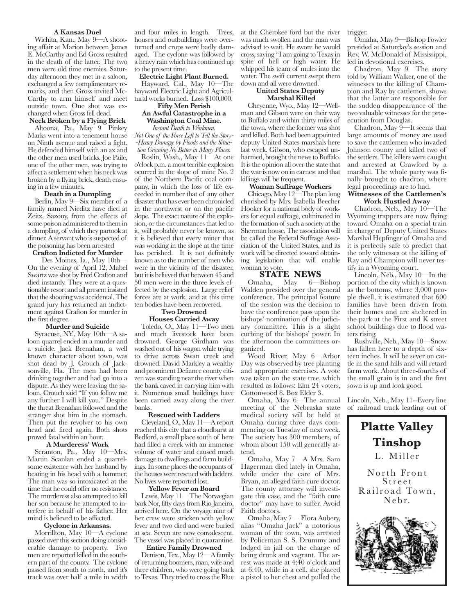#### **A Kansas Duel**

 Wichita, Kan., May 9—A shooting affair at Marion between James E. McCarthy and Ed Gross resulted in the death of the latter. The two men were old time enemies. Saturday afternoon they met in a saloon, exchanged a few complimentary remarks, and then Gross invited Mc-Carthy to arm himself and meet outside town. One shot was exchanged when Gross fell dead.

# **Neck Broken by a Flying Brick**

 Altoona, Pa., May 9—Pinkey Marks went into a tenement house on Ninth avenue and raised a fight. He defended himself with an ax and the other men used bricks. Joe Paile, one of the other men, was trying to affect a settlement when his neck was broken by a flying brick, death ensuing in a few minutes.

## **Death in a Dumpling**

 Berlin, May 9—Six member of a family named Nieditz have died at Zeitz, Sazony, from the effects of some poison administered to them in a dumpling, of which they partook at dinner. A servant who is suspected of the poisoning has been arrested

## **Crafton Indicted for Murder**

 Des Moines, Ia., May 10th— On the evening of April 12, Mabel Swartz was shot by Fred Crafton and died instantly. They were at a questionable resort and all present insisted that the shooting was accidental. The grand jury has returned an indictment against Crafton for murder in the first degree.

#### **Murder and Suicide**

 Syracuse, NY., May 10th—A saloon quarrel ended in a murder and a suicide. Jack Brenahan, a well known character about town, was shot dead by J. Crouch of Jacksonville, Fla. The men had been drinking together and had go into a dispute. As they were leaving the saloon, Crouch said "If you follow me any further I will kill you." Despite the threat Brenahan followed and the stranger shot him in the stomach. Then put the revolver to his own head and fired again. Both shots proved fatal within an hour.

#### **A Murderess' Work**

 Scranton, Pa., May 10—Mrs. Martin Scanlan ended a quarrelsome existence with her husband by beating in his head with a hammer. The man was so intoxicated at the time that he could offer no resistance. The murderess also attempted to kill her son because he attempted to interfere in behalf of his father. Her mind is believed to be affected.

#### **Cyclone in Arkansas.**

 Morrillton, May 10—A cyclone passed over this section doing considerable damage to property. Two men are reported killed in the southern part of the county. The cyclone passed from south to north, and it's track was over half a mile in width

and four miles in length. Trees, houses and outbuildings were overturned and crops were badly damaged. The cyclone was followed by a heavy rain which has continued up to the present time.

## **Electric Light Plant Burned.**

 Hayward, Cal., May 10—The hayward Electric Light and Agricultural works burned. Loss \$100,000. **Fifty Men Perish** 

## **An Awful Catastrophe in a Washington Coal Mine.**

*Instant Death to Workmen.* 

*Not One of the Force Left to Tell the Story- -Heavy Damage by Floods and the Situation Growing No Better in Many Places.* 

 Roslin, Wash., May 11—At one o'clock p.m. a most terrible explosion ocurred in the slope of mine No. 2 of the Northern Pacific coal company, in which the loss of life exceeded in number that of any other disaster that has ever been chronicled in the northwest or on the pacific slope. The exact nature of the explosion, or the circumstances that led to it, will probably never be known, as it is believed that every miner that was working in the slope at the time has perished. It is not definitely known as to the number of men who were in the vicinity of the disaster, but it is believed that between 45 and 50 men were in the three levels effected by the explosion. Large relief forces are at work, and at this time ten bodies have been recovered.

#### **Two Drowned Houses Carried Away**

 Toledo, O., May 11—Two men and much livestock have been drowned. George Girdham was washed out of his wagon while trying to drive across Swan creek and drowned. David Markley a wealthy and prominent Defiance county citizen was standing near the river when the bank caved in carrying him with it. Numerous small buildings have been carried away along the river banks.

## **Rescued with Ladders**

 Cleveland, O., May 11—A report reached this city that a cloudburst at Bedford, a small place south of here had filled a creek with an immense volume of water and caused much damage to dwellings and farm buildings. In some places the occupants of the houses were rescued with ladders. No lives were reported lost.

#### **Yellow Fever on Board**

 Lewis, May 11—The Norwegian bark Nor, fifty days from Rio Janeiro, arrived here. On the voyage nine of her crew were stricken with yellow fever and two died and were buried at sea. Seven are now convalescent. The vessel was placed in quarantine.

#### **Entire Family Drowned**

 Denison, Tex., May 12—A family of returning boomers, man, wife and three children, who were going back to Texas. They tried to cross the Blue at the Cherokee ford but the river was much swollen and the man was advised to wait. He swore he would cross, saying "I am going to Texas in spite of hell or high water. He whipped his team of mules into the water. The swift current swept them down and all were drowned.

## **United States Deputy Marshal Killed**

 Cheyenne, Wyo., May 12—Wellman and Gibson were on their way to Buffalo and within thirty miles of the town, where the former was shot and killed. Both had been appointed deputy United States marshals here last week. Gibson, who escaped unharmed, brought the news to Buffalo. It is the opinion all over the state that the war is now on in earnest and that killings will be frequent.

## **Woman Suffrage Workers**

 Chicago, May 12—The plan long cherished by Mrs. Isabella Beecher Hooker for a national body of workers for equal suffrage, culminated in the formation of such a society at the Sherman house. The association will be called the Federal Suffrage Association of the United States, and its work will be directed toward obtaining legislation that will enable woman to vote.

# **STATE NEWS**<br>Omaha, May 6-1

6—Bishop Walden presided over the general conference. The principal feature of the session was the decision to have the conference pass upon the bishops' nomination of the judiciary committee. This is a slight curbing of the bishops' power. In the afternoon the committees organized.

 Wood River, May 6—Arbor Day was observed by tree planting and appropriate exercises. A vote was taken on the state tree, which resulted as follows: Elm 24 voters, Cottonwood 8, Box Elder 3.

 Omaha, May 6—The annual meeting of the Nebraska state medical society will be held at Omaha during three days commencing on Tuesday of next week. The society has 300 members, of whom about 150 will generally attend.

 Omaha, May 7—A Mrs. Sam Hagerman died lately in Omaha, while under the care of Mrs. Bryan, an alleged faith cure doctor. The county attorney will investigate this case, and the "faith cure doctor" may have to suffer. Avoid Faith doctors.

 Omaha, May 7— Flora Aubery, alias "Omaha Jack" a notorious woman of the town, was arrested by Policeman S. S. Drummy and lodged in jail on the charge of being drunk and vagrant. The arrest was made at 4:40 o'clock and at 6:40, while in a cell, she placed a pistol to her chest and pulled the

trigger.

 Omaha, May 9—Bishop Fowler presided at Saturday's session and Rev. W. McDonald of Mississippi, led in devotional exercises.

 Chadron, May 9—The story told by William Walker, one of the witnesses to the killing of Champion and Ray by cattlemen, shows that the latter are responsible for the sudden disappearance of the two valuable witnesses for the prosecution from Douglas.

 Chadron, May 9—It seems that large amounts of money are used to save the cattlemen who invaded Johnson county and killed two of the settlers. The killers were caught and arrested at Crawford by a marshal. The whole party was finally brought to chadron, where legal proceedings are to had.

#### **Witnesses of the Cattlemen's Work Hustled Away**

 Chadron, Neb., May 10—The Wyoming trappers are now flying toward Omaha on a special train in charge of Deputy United States Marshal Hepfinger of Omaha and it is perfectly safe to predict that the only witnesses ot the killing of Ray and Champion will never testify in a Wyoming court.

 Lincoln, Neb., May 10—In the portion of the city which is known as the bottoms, where 3,000 people dwell, it is estimated that 600 families have been driven from their homes and are sheltered in the park at the First and K street school buildings due to flood waters rising.

 Rushville, Neb., May 10—Snow has fallen here to a depth of sixteen inches. It will be sever on cattle in the sand hills and will retard farm work. About three-fourths of the small grain is in and the first sown is up and look good.

Lincoln, Neb., May 11--Every line of railroad track leading out of

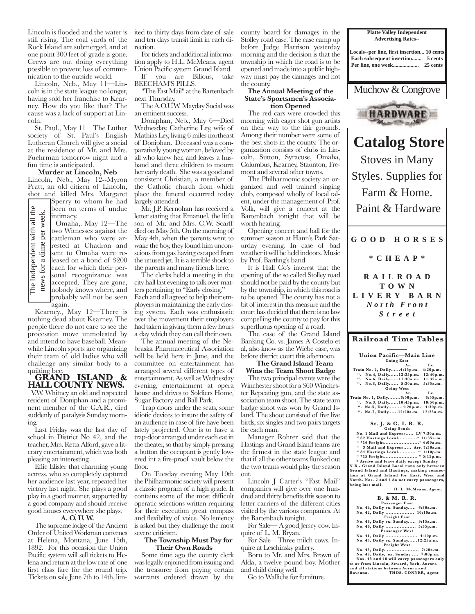Lincoln is flooded and the water is still rising. The coal yards of the Rock Island are submerged, and at one point 300 feet of grade is gone. Crews are out doing everything possible to prevent loss of communication to the outside world.

 Lincoln, Neb., May 11—Lincoln is in the state league no longer, having sold her franchise to Kearney. How do you like that? The cause was a lack of support at Lincoln.

 St. Paul., May 11—The Luther society of St. Paul's English Lutheran Church will give a social at the residence of Mr. and Mrs. Fuehrman tomorrow night and a fun time is anticipated.

#### **Murder at Lincoln, Neb** Lincoln, Neb., May 12--Myron Pratt, an old citizen of Lincoln, shot and killed Mrs. Margaret Sperry to whom he had

been on terms of undue intimacy.

The Independent with all the per week. news for a dime per week. $\overline{\mathbf{a}}$ The Independent with for a dime news f

the

Omaha,. May 12—The two Witnesses against the cattleman who were arrested at Chadron and sent to Omaha were released on a bond of \$200 each for which their personal recognizance was accepted. They are gone, nobody knows where, and probably will not be seen

again. Kearney., May 12—There is nothing dead about Kearney. The people there do not care to see the procession move unmolested by and intend to have baseball. Meanwhile Lincoln sports are organizing their team of old ladies who will challenge any similar body to a quilting bee.

 **GRAND ISLAND & HALL COUNTY NEWS.**

 V.W. Whitney an old and respected resident of Doniphan and a prominent member of the G.A.R., died suddenly of paralysis Sunday morning.

 Last Friday was the last day of school in District No 42, and the teacher, Mrs. Retta Alford, gave a literary entertainment, which was both pleasing an interesting.

 Effie Elisler that charming young actress, who so completely captured her audience last year, repeated her victory last night. She plays a good play in a good manner, supported by a good company and should receive good houses everywhere she plays.

## **A. O. U. W.**

 The supreme lodge of the Ancient Order of United Workman convenes at Helena, Montana, June 15th, 1892. For this occasion the Union Pacific system will sell tickets to Helena and return at the low rate of one first class fare for the round trip. Tickets on sale June 7th to 14th, limited to thirty days from date of sale and ten days transit limit in each direction.

 For tickets and additional information apply to H.L. McMeans, agent Union Pacific system Grand Island. If you are Bilious, take

BEECHAM'S PILLS. "The Fast Mail" at the Bartenbach

next Thursday.

 The A.O.U.W. Mayday Social was an eminent success.

 Doniphan, Neb., May 6—Died Wednesday, Catherine Ley, wife of Mathias Ley, living 6 miles northeast of Doniphan. Deceased was a comparatively young woman, beloved by all who knew her, and leaves a husband and three children to mourn her early death. She was a good and consistent Christian, a member of the Catholic church from which place the funeral occurred today largely attended.

 Mr. J.P. Kernohan has received a letter stating that Emanuel, the little son of Mr. and Mrs. C.W. Scarff died on May 5th. On the morning of May 4th, when the parents went to wake the boy, they found him unconscious from gas having escaped from the unused jet. It is a terrible shock to the parents and many friends here.

 The clerks held a meeting in the city hall last evening to talk over matters pertaining to "Early closing."

Each and all agreed to help their employers in maintaining the early closing system. Each was enthusiastic over the movement their employers had taken in giving them a few hours a day which they can call their own.

 The annual meeting of the Nebraska Pharmaceutical Association will be held here in June, and the committee on entertainment has arranged several different types of entertainment. As well as Wednesday evening, entertainment at opera house and drives to Soldiers Home, Sugar Factory and Ball Park.

 Trap doors under the seats, some idiotic devices to insure the safety of an audience in case of fire have been lately projected. One is to have a trap-door arranged under each eat in the theater, so that by simply pressing a button the occupant is gently lowered int a fire-proof vault below the floor.

 On Tuesday evening May 10th the Philharmonic society will present a classic program of a high grade. It contains some of the most difficult operatic selections written requiring for their execution great compass and flexibility of voice. No leniency is asked but they challenge the most severe criticism.

#### **The Township Must Pay for Their Own Roads**

 Some time ago the county clerk was legally enjoined from issuing and the treasurer from paying certain warrants ordered drawn by the county board for damages in the Stolley road case. The case camp up before Judge Harrison yesterday morning and the decision is that the township in which the road is to be opened and made into a public highway must pay the damages and not the county.

## **The Annual Meeting of the State's Sportsmen's Association Opened**

 The red cars were crowded this morning with eager shot gun artists on their way to the fair grounds. Among their number were some of the best shots in the county. The organization consists of clubs in Lincoln, Sutton, Syracuse, Omaha, Columbus, Kearney, Staunton, Fremont and several other towns.

 The Philharmonic society an organized and well trained singing club, composed wholly of local talent, under the management of Prof. Volk, will give a concert at the Bartenbach tonight that will be worth hearing.

 Opening concert and ball for the summer season at Hann's Park Saturday evening. In case of bad weather it will be held indoors. Music by Prof. Bartling's band

It is Hall Co's interest that the opening of the so called Stolley road should not be paid by the county but by the township, in which this road is to be opened. The county has not a bit of interest in this measure and the court has decided that there is no law compelling the county to pay for this superfluous opening of a road.

 The case of the Grand Island Banking Co. vs. James A Costelo et al, also know as the Wiebe case, was before district court this afternoon. **The Grand Island Team** 

# **Wins the Team Shoot Badge**

 The two principal events were the Winchester shoot for a \$60 Winchester Repeating gun, and the state association team shoot. The state team badge shoot was won by Grand Island. The shoot consisted of five live birds, six singles and two pairs targets for each man.

 Manager Rohrer said that the Hastings and Grand Island teams are the firmest in the state league and that if all the other teams flunked out the two teams would play the season out.

 Lincoln J Carter's "Fast Mail" companies will give over one hundred and thirty benefits this season to letter carriers of the different cities visited by the various companies. At the Bartenbach tonight.

 For Sale— A good Jersey cow. Inquire of L. M. Bryan.

 For Sale—Three milch cows. Inquire at Leschinsky gallery.

 Born to Mr. and Mrs. Brown of Alda, a twelve pound boy. Mother and child doing well.

Go to Wallichs for furniture.